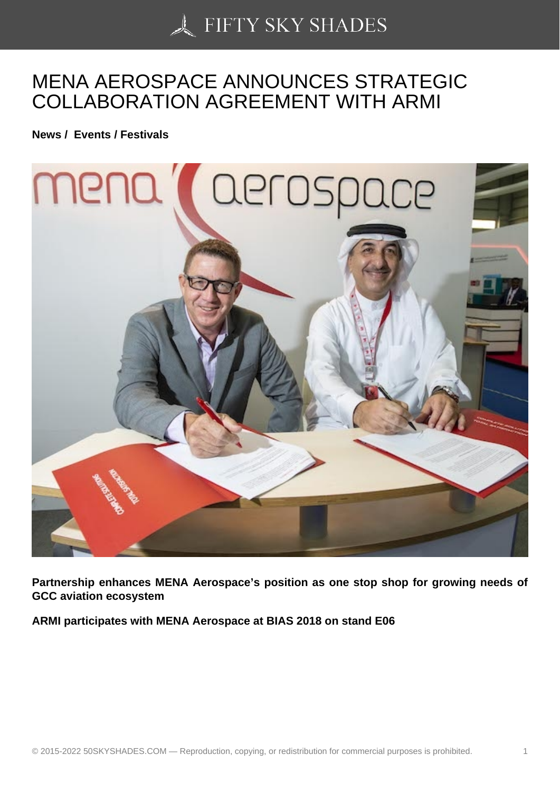## [MENA AEROSPACE A](https://50skyshades.com)NNOUNCES STRATEGIC COLLABORATION AGREEMENT WITH ARMI

News / Events / Festivals

Partnership enhances MENA Aerospace's position as one stop shop for growing needs of GCC aviation ecosystem

ARMI participates with MENA Aerospace at BIAS 2018 on stand E06